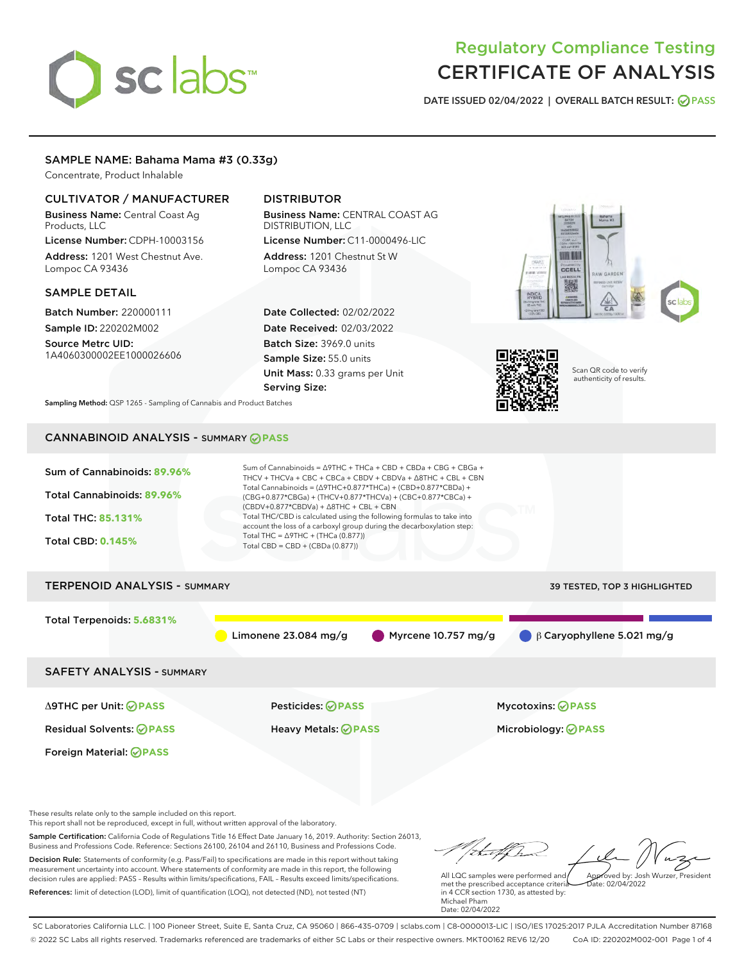# sclabs

# Regulatory Compliance Testing CERTIFICATE OF ANALYSIS

DATE ISSUED 02/04/2022 | OVERALL BATCH RESULT: @ PASS

# SAMPLE NAME: Bahama Mama #3 (0.33g)

Concentrate, Product Inhalable

### CULTIVATOR / MANUFACTURER

Business Name: Central Coast Ag Products, LLC License Number: CDPH-10003156

Address: 1201 West Chestnut Ave. Lompoc CA 93436

#### SAMPLE DETAIL

Batch Number: 220000111 Sample ID: 220202M002

Source Metrc UID: 1A4060300002EE1000026606

# DISTRIBUTOR

Business Name: CENTRAL COAST AG DISTRIBUTION, LLC License Number: C11-0000496-LIC

Address: 1201 Chestnut St W Lompoc CA 93436

Date Collected: 02/02/2022 Date Received: 02/03/2022 Batch Size: 3969.0 units Sample Size: 55.0 units Unit Mass: 0.33 grams per Unit Serving Size:





Scan QR code to verify authenticity of results.

Sampling Method: QSP 1265 - Sampling of Cannabis and Product Batches

# CANNABINOID ANALYSIS - SUMMARY **PASS**



These results relate only to the sample included on this report.

This report shall not be reproduced, except in full, without written approval of the laboratory.

Sample Certification: California Code of Regulations Title 16 Effect Date January 16, 2019. Authority: Section 26013, Business and Professions Code. Reference: Sections 26100, 26104 and 26110, Business and Professions Code. Decision Rule: Statements of conformity (e.g. Pass/Fail) to specifications are made in this report without taking measurement uncertainty into account. Where statements of conformity are made in this report, the following decision rules are applied: PASS – Results within limits/specifications, FAIL – Results exceed limits/specifications.

References: limit of detection (LOD), limit of quantification (LOQ), not detected (ND), not tested (NT)

Approved by: Josh Wurzer, President

 $\frac{1}{2}$  02/04/2022

All LQC samples were performed and met the prescribed acceptance criteria in 4 CCR section 1730, as attested by: Michael Pham Date: 02/04/2022

SC Laboratories California LLC. | 100 Pioneer Street, Suite E, Santa Cruz, CA 95060 | 866-435-0709 | sclabs.com | C8-0000013-LIC | ISO/IES 17025:2017 PJLA Accreditation Number 87168 © 2022 SC Labs all rights reserved. Trademarks referenced are trademarks of either SC Labs or their respective owners. MKT00162 REV6 12/20 CoA ID: 220202M002-001 Page 1 of 4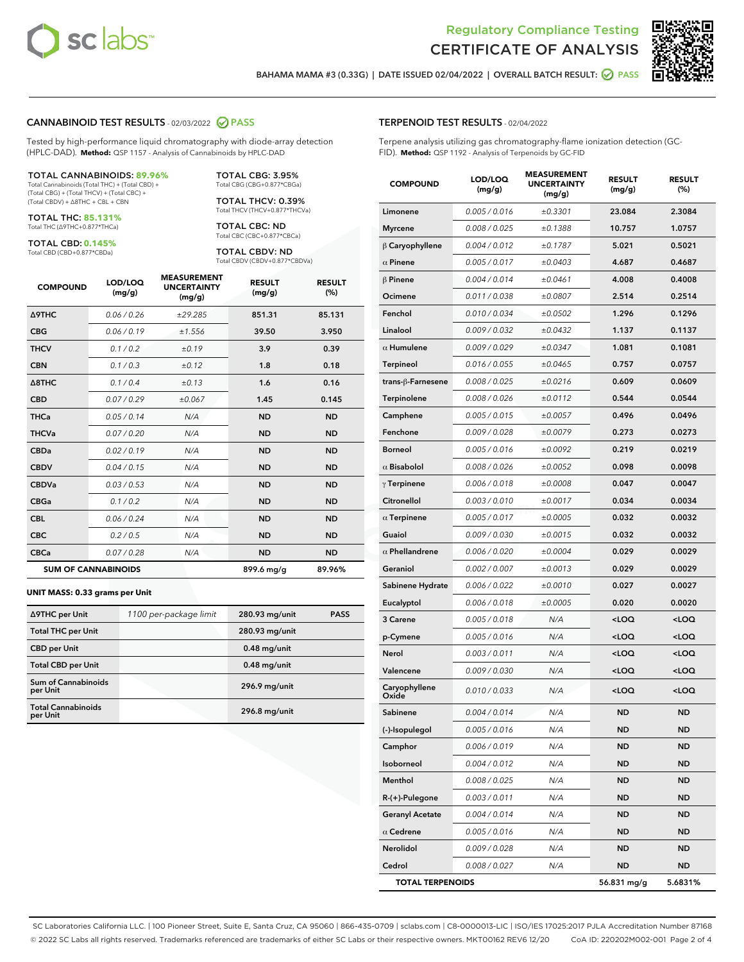



BAHAMA MAMA #3 (0.33G) | DATE ISSUED 02/04/2022 | OVERALL BATCH RESULT: 2 PASS

# CANNABINOID TEST RESULTS - 02/03/2022 2 PASS

Tested by high-performance liquid chromatography with diode-array detection (HPLC-DAD). **Method:** QSP 1157 - Analysis of Cannabinoids by HPLC-DAD

#### TOTAL CANNABINOIDS: **89.96%**

Total Cannabinoids (Total THC) + (Total CBD) + (Total CBG) + (Total THCV) + (Total CBC) + (Total CBDV) + ∆8THC + CBL + CBN

TOTAL THC: **85.131%** Total THC (∆9THC+0.877\*THCa)

TOTAL CBD: **0.145%** Total CBD (CBD+0.877\*CBDa)

TOTAL CBG: 3.95% Total CBG (CBG+0.877\*CBGa)

TOTAL THCV: 0.39% Total THCV (THCV+0.877\*THCVa)

TOTAL CBC: ND Total CBC (CBC+0.877\*CBCa)

TOTAL CBDV: ND Total CBDV (CBDV+0.877\*CBDVa)

| <b>COMPOUND</b>  | LOD/LOQ<br>(mg/g)          | <b>MEASUREMENT</b><br><b>UNCERTAINTY</b><br>(mg/g) | <b>RESULT</b><br>(mg/g) | <b>RESULT</b><br>(%) |
|------------------|----------------------------|----------------------------------------------------|-------------------------|----------------------|
| <b>A9THC</b>     | 0.06/0.26                  | ±29.285                                            | 851.31                  | 85.131               |
| <b>CBG</b>       | 0.06/0.19                  | ±1.556                                             | 39.50                   | 3.950                |
| <b>THCV</b>      | 0.1/0.2                    | ±0.19                                              | 3.9                     | 0.39                 |
| <b>CBN</b>       | 0.1/0.3                    | ±0.12                                              | 1.8                     | 0.18                 |
| $\triangle$ 8THC | 0.1/0.4                    | ±0.13                                              | 1.6                     | 0.16                 |
| <b>CBD</b>       | 0.07/0.29                  | ±0.067                                             | 1.45                    | 0.145                |
| <b>THCa</b>      | 0.05/0.14                  | N/A                                                | <b>ND</b>               | <b>ND</b>            |
| <b>THCVa</b>     | 0.07/0.20                  | N/A                                                | <b>ND</b>               | <b>ND</b>            |
| <b>CBDa</b>      | 0.02/0.19                  | N/A                                                | <b>ND</b>               | <b>ND</b>            |
| <b>CBDV</b>      | 0.04/0.15                  | N/A                                                | <b>ND</b>               | <b>ND</b>            |
| <b>CBDVa</b>     | 0.03/0.53                  | N/A                                                | <b>ND</b>               | <b>ND</b>            |
| <b>CBGa</b>      | 0.1/0.2                    | N/A                                                | <b>ND</b>               | <b>ND</b>            |
| <b>CBL</b>       | 0.06 / 0.24                | N/A                                                | <b>ND</b>               | <b>ND</b>            |
| <b>CBC</b>       | 0.2 / 0.5                  | N/A                                                | <b>ND</b>               | <b>ND</b>            |
| <b>CBCa</b>      | 0.07/0.28                  | N/A                                                | <b>ND</b>               | <b>ND</b>            |
|                  | <b>SUM OF CANNABINOIDS</b> |                                                    | 899.6 mg/g              | 89.96%               |

#### **UNIT MASS: 0.33 grams per Unit**

| ∆9THC per Unit                         | 1100 per-package limit | 280.93 mg/unit | <b>PASS</b> |
|----------------------------------------|------------------------|----------------|-------------|
| <b>Total THC per Unit</b>              |                        | 280.93 mg/unit |             |
| <b>CBD per Unit</b>                    |                        | $0.48$ mg/unit |             |
| <b>Total CBD per Unit</b>              |                        | $0.48$ mg/unit |             |
| <b>Sum of Cannabinoids</b><br>per Unit |                        | 296.9 mg/unit  |             |
| <b>Total Cannabinoids</b><br>per Unit  |                        | 296.8 mg/unit  |             |

# TERPENOID TEST RESULTS - 02/04/2022

Terpene analysis utilizing gas chromatography-flame ionization detection (GC-FID). **Method:** QSP 1192 - Analysis of Terpenoids by GC-FID

| <b>COMPOUND</b>         | LOD/LOQ<br>(mg/g) | <b>MEASUREMENT</b><br><b>UNCERTAINTY</b><br>(mg/g) | <b>RESULT</b><br>(mg/g)                         | <b>RESULT</b><br>(%) |
|-------------------------|-------------------|----------------------------------------------------|-------------------------------------------------|----------------------|
| Limonene                | 0.005 / 0.016     | ±0.3301                                            | 23.084                                          | 2.3084               |
| <b>Myrcene</b>          | 0.008 / 0.025     | ±0.1388                                            | 10.757                                          | 1.0757               |
| $\beta$ Caryophyllene   | 0.004 / 0.012     | ±0.1787                                            | 5.021                                           | 0.5021               |
| $\alpha$ Pinene         | 0.005 / 0.017     | ±0.0403                                            | 4.687                                           | 0.4687               |
| $\beta$ Pinene          | 0.004 / 0.014     | ±0.0461                                            | 4.008                                           | 0.4008               |
| Ocimene                 | 0.011 / 0.038     | ±0.0807                                            | 2.514                                           | 0.2514               |
| Fenchol                 | 0.010 / 0.034     | ±0.0502                                            | 1.296                                           | 0.1296               |
| Linalool                | 0.009 / 0.032     | ±0.0432                                            | 1.137                                           | 0.1137               |
| $\alpha$ Humulene       | 0.009/0.029       | ±0.0347                                            | 1.081                                           | 0.1081               |
| <b>Terpineol</b>        | 0.016 / 0.055     | ±0.0465                                            | 0.757                                           | 0.0757               |
| trans-ß-Farnesene       | 0.008 / 0.025     | ±0.0216                                            | 0.609                                           | 0.0609               |
| Terpinolene             | 0.008 / 0.026     | ±0.0112                                            | 0.544                                           | 0.0544               |
| Camphene                | 0.005 / 0.015     | ±0.0057                                            | 0.496                                           | 0.0496               |
| Fenchone                | 0.009 / 0.028     | ±0.0079                                            | 0.273                                           | 0.0273               |
| <b>Borneol</b>          | 0.005 / 0.016     | ±0.0092                                            | 0.219                                           | 0.0219               |
| $\alpha$ Bisabolol      | 0.008 / 0.026     | ±0.0052                                            | 0.098                                           | 0.0098               |
| $\gamma$ Terpinene      | 0.006 / 0.018     | ±0.0008                                            | 0.047                                           | 0.0047               |
| Citronellol             | 0.003 / 0.010     | ±0.0017                                            | 0.034                                           | 0.0034               |
| $\alpha$ Terpinene      | 0.005 / 0.017     | ±0.0005                                            | 0.032                                           | 0.0032               |
| Guaiol                  | 0.009 / 0.030     | ±0.0015                                            | 0.032                                           | 0.0032               |
| $\alpha$ Phellandrene   | 0.006 / 0.020     | ±0.0004                                            | 0.029                                           | 0.0029               |
| Geraniol                | 0.002 / 0.007     | ±0.0013                                            | 0.029                                           | 0.0029               |
| Sabinene Hydrate        | 0.006 / 0.022     | ±0.0010                                            | 0.027                                           | 0.0027               |
| Eucalyptol              | 0.006 / 0.018     | ±0.0005                                            | 0.020                                           | 0.0020               |
| 3 Carene                | 0.005 / 0.018     | N/A                                                | <loq< th=""><th><loq< th=""></loq<></th></loq<> | <loq< th=""></loq<>  |
| p-Cymene                | 0.005 / 0.016     | N/A                                                | <loq< th=""><th><loq< th=""></loq<></th></loq<> | <loq< th=""></loq<>  |
| Nerol                   | 0.003 / 0.011     | N/A                                                | <loq< th=""><th><loq< th=""></loq<></th></loq<> | <loq< th=""></loq<>  |
| Valencene               | 0.009 / 0.030     | N/A                                                | <loq< th=""><th><loq< th=""></loq<></th></loq<> | <loq< th=""></loq<>  |
| Caryophyllene<br>Oxide  | 0.010 / 0.033     | N/A                                                | <loq< th=""><th><loq< th=""></loq<></th></loq<> | <loq< th=""></loq<>  |
| Sabinene                | 0.004 / 0.014     | N/A                                                | ND                                              | ND                   |
| (-)-Isopulegol          | 0.005 / 0.016     | N/A                                                | ND                                              | ND                   |
| Camphor                 | 0.006 / 0.019     | N/A                                                | ND                                              | ND                   |
| Isoborneol              | 0.004 / 0.012     | N/A                                                | <b>ND</b>                                       | ND                   |
| Menthol                 | 0.008 / 0.025     | N/A                                                | <b>ND</b>                                       | ND                   |
| $R-(+)$ -Pulegone       | 0.003 / 0.011     | N/A                                                | ND                                              | ND                   |
| <b>Geranyl Acetate</b>  | 0.004 / 0.014     | N/A                                                | <b>ND</b>                                       | ND                   |
| $\alpha$ Cedrene        | 0.005 / 0.016     | N/A                                                | <b>ND</b>                                       | ND                   |
| Nerolidol               | 0.009 / 0.028     | N/A                                                | ND                                              | ND                   |
| Cedrol                  | 0.008 / 0.027     | N/A                                                | <b>ND</b>                                       | <b>ND</b>            |
| <b>TOTAL TERPENOIDS</b> |                   |                                                    | 56.831 mg/g                                     | 5.6831%              |

SC Laboratories California LLC. | 100 Pioneer Street, Suite E, Santa Cruz, CA 95060 | 866-435-0709 | sclabs.com | C8-0000013-LIC | ISO/IES 17025:2017 PJLA Accreditation Number 87168 © 2022 SC Labs all rights reserved. Trademarks referenced are trademarks of either SC Labs or their respective owners. MKT00162 REV6 12/20 CoA ID: 220202M002-001 Page 2 of 4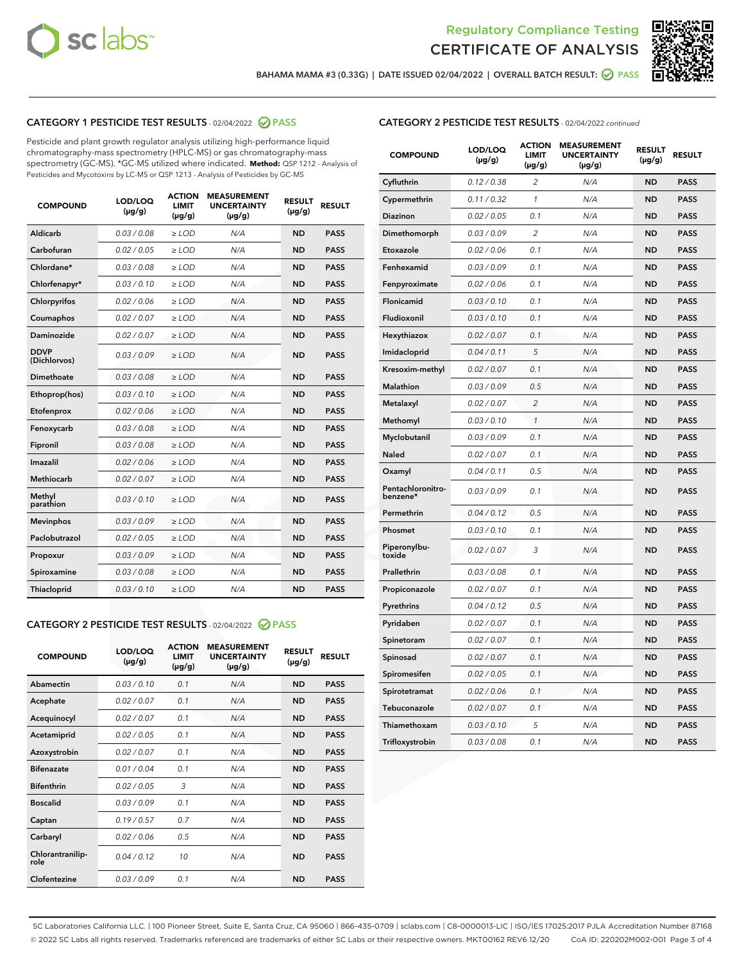



BAHAMA MAMA #3 (0.33G) | DATE ISSUED 02/04/2022 | OVERALL BATCH RESULT: @ PASS

# CATEGORY 1 PESTICIDE TEST RESULTS - 02/04/2022 2 PASS

Pesticide and plant growth regulator analysis utilizing high-performance liquid chromatography-mass spectrometry (HPLC-MS) or gas chromatography-mass spectrometry (GC-MS). \*GC-MS utilized where indicated. **Method:** QSP 1212 - Analysis of Pesticides and Mycotoxins by LC-MS or QSP 1213 - Analysis of Pesticides by GC-MS

| <b>COMPOUND</b>             | LOD/LOQ<br>$(\mu g/g)$ | <b>ACTION</b><br><b>LIMIT</b><br>$(\mu g/g)$ | <b>MEASUREMENT</b><br><b>UNCERTAINTY</b><br>$(\mu g/g)$ | <b>RESULT</b><br>$(\mu g/g)$ | <b>RESULT</b> |
|-----------------------------|------------------------|----------------------------------------------|---------------------------------------------------------|------------------------------|---------------|
| Aldicarb                    | 0.03/0.08              | $>$ LOD                                      | N/A                                                     | <b>ND</b>                    | <b>PASS</b>   |
| Carbofuran                  | 0.02 / 0.05            | $\ge$ LOD                                    | N/A                                                     | <b>ND</b>                    | <b>PASS</b>   |
| Chlordane*                  | 0.03 / 0.08            | $\ge$ LOD                                    | N/A                                                     | <b>ND</b>                    | <b>PASS</b>   |
| Chlorfenapyr*               | 0.03/0.10              | $\ge$ LOD                                    | N/A                                                     | <b>ND</b>                    | <b>PASS</b>   |
| Chlorpyrifos                | 0.02 / 0.06            | $\ge$ LOD                                    | N/A                                                     | <b>ND</b>                    | <b>PASS</b>   |
| Coumaphos                   | 0.02 / 0.07            | $\ge$ LOD                                    | N/A                                                     | <b>ND</b>                    | <b>PASS</b>   |
| Daminozide                  | 0.02/0.07              | $>$ LOD                                      | N/A                                                     | <b>ND</b>                    | <b>PASS</b>   |
| <b>DDVP</b><br>(Dichlorvos) | 0.03/0.09              | $\ge$ LOD                                    | N/A                                                     | <b>ND</b>                    | <b>PASS</b>   |
| <b>Dimethoate</b>           | 0.03/0.08              | $\ge$ LOD                                    | N/A                                                     | <b>ND</b>                    | <b>PASS</b>   |
| Ethoprop(hos)               | 0.03/0.10              | $\ge$ LOD                                    | N/A                                                     | <b>ND</b>                    | <b>PASS</b>   |
| Etofenprox                  | 0.02 / 0.06            | $\ge$ LOD                                    | N/A                                                     | <b>ND</b>                    | <b>PASS</b>   |
| Fenoxycarb                  | 0.03/0.08              | $\ge$ LOD                                    | N/A                                                     | <b>ND</b>                    | <b>PASS</b>   |
| Fipronil                    | 0.03/0.08              | $\ge$ LOD                                    | N/A                                                     | <b>ND</b>                    | <b>PASS</b>   |
| Imazalil                    | 0.02 / 0.06            | $>$ LOD                                      | N/A                                                     | <b>ND</b>                    | <b>PASS</b>   |
| Methiocarb                  | 0.02 / 0.07            | $>$ LOD                                      | N/A                                                     | <b>ND</b>                    | <b>PASS</b>   |
| Methyl<br>parathion         | 0.03/0.10              | $>$ LOD                                      | N/A                                                     | <b>ND</b>                    | <b>PASS</b>   |
| <b>Mevinphos</b>            | 0.03/0.09              | $\ge$ LOD                                    | N/A                                                     | <b>ND</b>                    | <b>PASS</b>   |
| Paclobutrazol               | 0.02 / 0.05            | $>$ LOD                                      | N/A                                                     | <b>ND</b>                    | <b>PASS</b>   |
| Propoxur                    | 0.03/0.09              | $\ge$ LOD                                    | N/A                                                     | <b>ND</b>                    | <b>PASS</b>   |
| Spiroxamine                 | 0.03 / 0.08            | $\ge$ LOD                                    | N/A                                                     | <b>ND</b>                    | <b>PASS</b>   |
| Thiacloprid                 | 0.03/0.10              | $\ge$ LOD                                    | N/A                                                     | <b>ND</b>                    | <b>PASS</b>   |

#### CATEGORY 2 PESTICIDE TEST RESULTS - 02/04/2022 @ PASS

| <b>COMPOUND</b>          | LOD/LOO<br>$(\mu g/g)$ | <b>ACTION</b><br>LIMIT<br>$(\mu g/g)$ | <b>MEASUREMENT</b><br><b>UNCERTAINTY</b><br>$(\mu g/g)$ | <b>RESULT</b><br>$(\mu g/g)$ | <b>RESULT</b> |  |
|--------------------------|------------------------|---------------------------------------|---------------------------------------------------------|------------------------------|---------------|--|
| Abamectin                | 0.03/0.10              | 0.1                                   | N/A                                                     | <b>ND</b>                    | <b>PASS</b>   |  |
| Acephate                 | 0.02/0.07              | 0.1                                   | N/A                                                     | <b>ND</b>                    | <b>PASS</b>   |  |
| Acequinocyl              | 0.02/0.07              | 0.1                                   | N/A                                                     | <b>ND</b>                    | <b>PASS</b>   |  |
| Acetamiprid              | 0.02 / 0.05            | 0.1                                   | N/A                                                     | <b>ND</b>                    | <b>PASS</b>   |  |
| Azoxystrobin             | 0.02/0.07              | 0.1                                   | N/A                                                     | <b>ND</b>                    | <b>PASS</b>   |  |
| <b>Bifenazate</b>        | 0.01 / 0.04            | 0.1                                   | N/A                                                     | <b>ND</b>                    | <b>PASS</b>   |  |
| <b>Bifenthrin</b>        | 0.02 / 0.05            | 3                                     | N/A                                                     | <b>ND</b>                    | <b>PASS</b>   |  |
| <b>Boscalid</b>          | 0.03/0.09              | 0.1                                   | N/A                                                     | <b>ND</b>                    | <b>PASS</b>   |  |
| Captan                   | 0.19/0.57              | 0.7                                   | N/A                                                     | <b>ND</b>                    | <b>PASS</b>   |  |
| Carbaryl                 | 0.02/0.06              | 0.5                                   | N/A                                                     | <b>ND</b>                    | <b>PASS</b>   |  |
| Chlorantranilip-<br>role | 0.04/0.12              | 10                                    | N/A                                                     | <b>ND</b>                    | <b>PASS</b>   |  |
| Clofentezine             | 0.03/0.09              | 0.1                                   | N/A                                                     | <b>ND</b>                    | <b>PASS</b>   |  |

# CATEGORY 2 PESTICIDE TEST RESULTS - 02/04/2022 continued

| <b>COMPOUND</b>               | LOD/LOQ<br>(µg/g) | <b>ACTION</b><br><b>LIMIT</b><br>$(\mu g/g)$ | <b>MEASUREMENT</b><br><b>UNCERTAINTY</b><br>$(\mu g/g)$ | <b>RESULT</b><br>(µg/g) | <b>RESULT</b> |
|-------------------------------|-------------------|----------------------------------------------|---------------------------------------------------------|-------------------------|---------------|
| Cyfluthrin                    | 0.12 / 0.38       | $\overline{c}$                               | N/A                                                     | <b>ND</b>               | <b>PASS</b>   |
| Cypermethrin                  | 0.11 / 0.32       | 1                                            | N/A                                                     | ND                      | <b>PASS</b>   |
| Diazinon                      | 0.02 / 0.05       | 0.1                                          | N/A                                                     | ND                      | <b>PASS</b>   |
| Dimethomorph                  | 0.03 / 0.09       | 2                                            | N/A                                                     | ND                      | <b>PASS</b>   |
| Etoxazole                     | 0.02 / 0.06       | 0.1                                          | N/A                                                     | <b>ND</b>               | <b>PASS</b>   |
| Fenhexamid                    | 0.03 / 0.09       | 0.1                                          | N/A                                                     | <b>ND</b>               | <b>PASS</b>   |
| Fenpyroximate                 | 0.02 / 0.06       | 0.1                                          | N/A                                                     | ND                      | <b>PASS</b>   |
| Flonicamid                    | 0.03 / 0.10       | 0.1                                          | N/A                                                     | ND                      | <b>PASS</b>   |
| Fludioxonil                   | 0.03 / 0.10       | 0.1                                          | N/A                                                     | <b>ND</b>               | <b>PASS</b>   |
| Hexythiazox                   | 0.02 / 0.07       | 0.1                                          | N/A                                                     | ND                      | <b>PASS</b>   |
| Imidacloprid                  | 0.04 / 0.11       | 5                                            | N/A                                                     | ND                      | <b>PASS</b>   |
| Kresoxim-methyl               | 0.02 / 0.07       | 0.1                                          | N/A                                                     | <b>ND</b>               | <b>PASS</b>   |
| <b>Malathion</b>              | 0.03 / 0.09       | 0.5                                          | N/A                                                     | ND                      | <b>PASS</b>   |
| Metalaxyl                     | 0.02 / 0.07       | $\overline{c}$                               | N/A                                                     | ND                      | <b>PASS</b>   |
| Methomyl                      | 0.03 / 0.10       | 1                                            | N/A                                                     | <b>ND</b>               | <b>PASS</b>   |
| Myclobutanil                  | 0.03 / 0.09       | 0.1                                          | N/A                                                     | ND                      | <b>PASS</b>   |
| Naled                         | 0.02 / 0.07       | 0.1                                          | N/A                                                     | ND                      | <b>PASS</b>   |
| Oxamyl                        | 0.04 / 0.11       | 0.5                                          | N/A                                                     | ND                      | <b>PASS</b>   |
| Pentachloronitro-<br>benzene* | 0.03 / 0.09       | 0.1                                          | N/A                                                     | ND                      | <b>PASS</b>   |
| Permethrin                    | 0.04 / 0.12       | 0.5                                          | N/A                                                     | <b>ND</b>               | <b>PASS</b>   |
| Phosmet                       | 0.03 / 0.10       | 0.1                                          | N/A                                                     | <b>ND</b>               | <b>PASS</b>   |
| Piperonylbu-<br>toxide        | 0.02 / 0.07       | 3                                            | N/A                                                     | ND                      | <b>PASS</b>   |
| Prallethrin                   | 0.03 / 0.08       | 0.1                                          | N/A                                                     | <b>ND</b>               | <b>PASS</b>   |
| Propiconazole                 | 0.02 / 0.07       | 0.1                                          | N/A                                                     | ND                      | <b>PASS</b>   |
| Pyrethrins                    | 0.04 / 0.12       | 0.5                                          | N/A                                                     | ND                      | <b>PASS</b>   |
| Pyridaben                     | 0.02 / 0.07       | 0.1                                          | N/A                                                     | ND                      | <b>PASS</b>   |
| Spinetoram                    | 0.02 / 0.07       | 0.1                                          | N/A                                                     | ND                      | <b>PASS</b>   |
| Spinosad                      | 0.02 / 0.07       | 0.1                                          | N/A                                                     | ND                      | <b>PASS</b>   |
| Spiromesifen                  | 0.02 / 0.05       | 0.1                                          | N/A                                                     | <b>ND</b>               | <b>PASS</b>   |
| Spirotetramat                 | 0.02 / 0.06       | 0.1                                          | N/A                                                     | ND                      | <b>PASS</b>   |
| Tebuconazole                  | 0.02 / 0.07       | 0.1                                          | N/A                                                     | ND                      | <b>PASS</b>   |
| Thiamethoxam                  | 0.03 / 0.10       | 5                                            | N/A                                                     | <b>ND</b>               | <b>PASS</b>   |
| Trifloxystrobin               | 0.03 / 0.08       | 0.1                                          | N/A                                                     | <b>ND</b>               | <b>PASS</b>   |

SC Laboratories California LLC. | 100 Pioneer Street, Suite E, Santa Cruz, CA 95060 | 866-435-0709 | sclabs.com | C8-0000013-LIC | ISO/IES 17025:2017 PJLA Accreditation Number 87168 © 2022 SC Labs all rights reserved. Trademarks referenced are trademarks of either SC Labs or their respective owners. MKT00162 REV6 12/20 CoA ID: 220202M002-001 Page 3 of 4